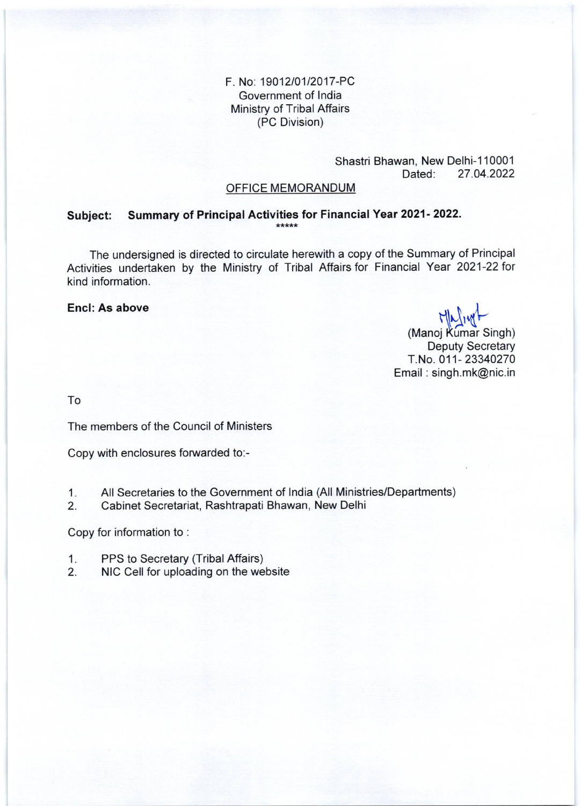F. No: 19012/01/2017-PC Government of India Ministry of Tribal Affairs (PC Division)

#### Shastri Bhawan, New Delhi-110001 Dated: 27.04.2022

## OFFICE MEMORANDUM

#### Summary of Principal Activities for Financial Year 2021-2022. Subject: \*\*\*\*\*

The undersigned is directed to circulate herewith a copy of the Summary of Principal Activities undertaken by the Ministry of Tribal Affairs for Financial Year 2021-22 for kind information.

## Encl: As above

Majiyt

(Manoj Kumar Singh) **Deputy Secretary** T.No. 011-23340270 Email: singh.mk@nic.in

To

The members of the Council of Ministers

Copy with enclosures forwarded to:-

- All Secretaries to the Government of India (All Ministries/Departments)  $1.$
- Cabinet Secretariat, Rashtrapati Bhawan, New Delhi  $2.$

Copy for information to:

- $1.$ PPS to Secretary (Tribal Affairs)
- NIC Cell for uploading on the website  $2.$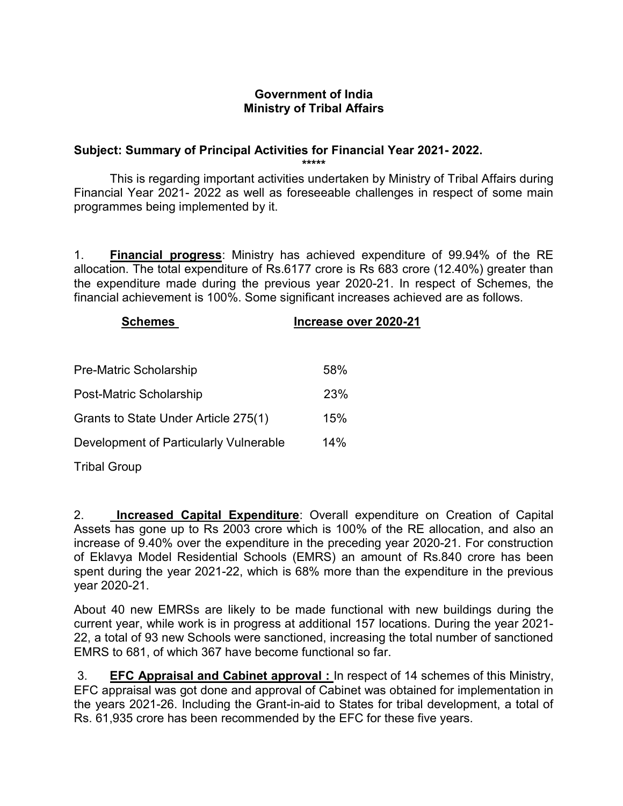# Government of India Ministry of Tribal Affairs

# Subject: Summary of Principal Activities for Financial Year 2021- 2022.

\*\*\*\*\*

 This is regarding important activities undertaken by Ministry of Tribal Affairs during Financial Year 2021- 2022 as well as foreseeable challenges in respect of some main programmes being implemented by it.

1. Financial progress: Ministry has achieved expenditure of 99.94% of the RE allocation. The total expenditure of Rs.6177 crore is Rs 683 crore (12.40%) greater than the expenditure made during the previous year 2020-21. In respect of Schemes, the financial achievement is 100%. Some significant increases achieved are as follows.

| <b>Schemes</b>                         | Increase over 2020-21 |
|----------------------------------------|-----------------------|
|                                        |                       |
| Pre-Matric Scholarship                 | 58%                   |
| Post-Matric Scholarship                | 23%                   |
| Grants to State Under Article 275(1)   | 15%                   |
| Development of Particularly Vulnerable | 14%                   |
| <b>Tribal Group</b>                    |                       |

2. Increased Capital Expenditure: Overall expenditure on Creation of Capital Assets has gone up to Rs 2003 crore which is 100% of the RE allocation, and also an increase of 9.40% over the expenditure in the preceding year 2020-21. For construction of Eklavya Model Residential Schools (EMRS) an amount of Rs.840 crore has been spent during the year 2021-22, which is 68% more than the expenditure in the previous year 2020-21.

About 40 new EMRSs are likely to be made functional with new buildings during the current year, while work is in progress at additional 157 locations. During the year 2021- 22, a total of 93 new Schools were sanctioned, increasing the total number of sanctioned EMRS to 681, of which 367 have become functional so far.

 3. EFC Appraisal and Cabinet approval : In respect of 14 schemes of this Ministry, EFC appraisal was got done and approval of Cabinet was obtained for implementation in the years 2021-26. Including the Grant-in-aid to States for tribal development, a total of Rs. 61,935 crore has been recommended by the EFC for these five years.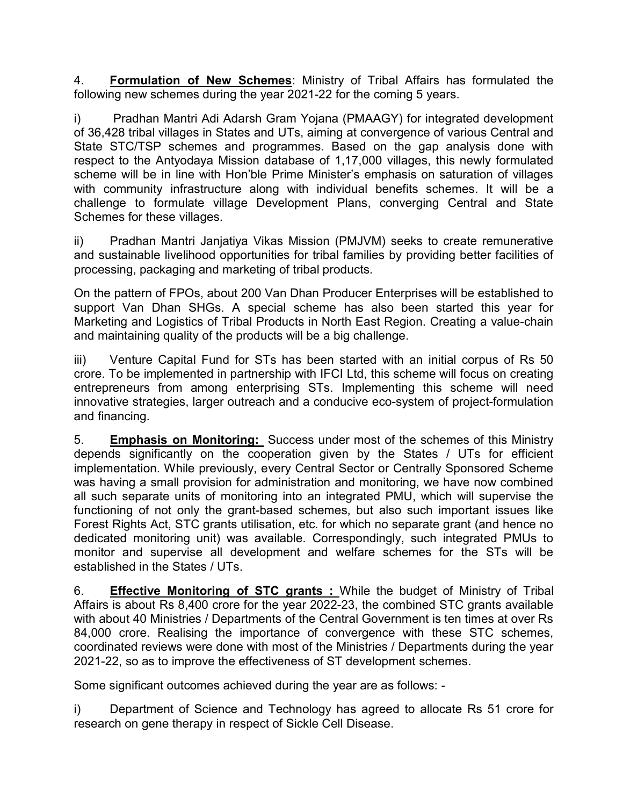4. Formulation of New Schemes: Ministry of Tribal Affairs has formulated the following new schemes during the year 2021-22 for the coming 5 years.

i) Pradhan Mantri Adi Adarsh Gram Yojana (PMAAGY) for integrated development of 36,428 tribal villages in States and UTs, aiming at convergence of various Central and State STC/TSP schemes and programmes. Based on the gap analysis done with respect to the Antyodaya Mission database of 1,17,000 villages, this newly formulated scheme will be in line with Hon'ble Prime Minister's emphasis on saturation of villages with community infrastructure along with individual benefits schemes. It will be a challenge to formulate village Development Plans, converging Central and State Schemes for these villages.

ii) Pradhan Mantri Janjatiya Vikas Mission (PMJVM) seeks to create remunerative and sustainable livelihood opportunities for tribal families by providing better facilities of processing, packaging and marketing of tribal products.

On the pattern of FPOs, about 200 Van Dhan Producer Enterprises will be established to support Van Dhan SHGs. A special scheme has also been started this year for Marketing and Logistics of Tribal Products in North East Region. Creating a value-chain and maintaining quality of the products will be a big challenge.

iii) Venture Capital Fund for STs has been started with an initial corpus of Rs 50 crore. To be implemented in partnership with IFCI Ltd, this scheme will focus on creating entrepreneurs from among enterprising STs. Implementing this scheme will need innovative strategies, larger outreach and a conducive eco-system of project-formulation and financing.

5. Emphasis on Monitoring: Success under most of the schemes of this Ministry depends significantly on the cooperation given by the States / UTs for efficient implementation. While previously, every Central Sector or Centrally Sponsored Scheme was having a small provision for administration and monitoring, we have now combined all such separate units of monitoring into an integrated PMU, which will supervise the functioning of not only the grant-based schemes, but also such important issues like Forest Rights Act, STC grants utilisation, etc. for which no separate grant (and hence no dedicated monitoring unit) was available. Correspondingly, such integrated PMUs to monitor and supervise all development and welfare schemes for the STs will be established in the States / UTs.

6. Effective Monitoring of STC grants : While the budget of Ministry of Tribal Affairs is about Rs 8,400 crore for the year 2022-23, the combined STC grants available with about 40 Ministries / Departments of the Central Government is ten times at over Rs 84,000 crore. Realising the importance of convergence with these STC schemes, coordinated reviews were done with most of the Ministries / Departments during the year 2021-22, so as to improve the effectiveness of ST development schemes.

Some significant outcomes achieved during the year are as follows: -

i) Department of Science and Technology has agreed to allocate Rs 51 crore for research on gene therapy in respect of Sickle Cell Disease.